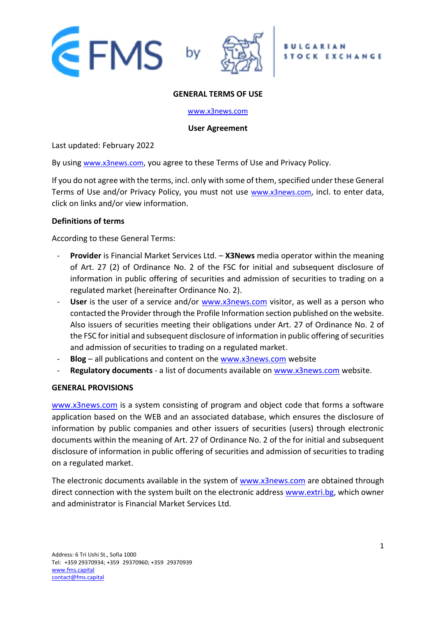





#### **GENERAL TERMS OF USE**

#### [www.x3news.com](http://www.x3news.com/)

#### **User Agreement**

Last updated: February 2022

By using [www.x3news.com](http://www.x3news.com/), you agree to these Terms of Use and Privacy Policy.

If you do not agree with the terms, incl. only with some of them, specified under these General Terms of Use and/or Privacy Policy, you must not use [www.x3news.com](http://www.x3news.com/), incl. to enter data, click on links and/or view information.

### **Definitions of terms**

According to these General Terms:

- **Provider** is Financial Market Services Ltd. **X3News** media operator within the meaning of Art. 27 (2) of Ordinance No. 2 of the FSC for initial and subsequent disclosure of information in public offering of securities and admission of securities to trading on a regulated market (hereinafter Ordinance No. 2).
- **User** is the user of a service and/or [www.x3news.com](http://www.x3news.com/) visitor, as well as a person who contacted the Provider through the Profile Information section published on the website. Also issuers of securities meeting their obligations under Art. 27 of Ordinance No. 2 of the FSC for initial and subsequent disclosure of information in public offering of securities and admission of securities to trading on a regulated market.
- **Blog** all publications and content on the [www.x3news.com](http://www.x3news.com/) website
- Regulatory documents a list of documents available on [www.x3news.com](http://www.x3news.com/) website.

### **GENERAL PROVISIONS**

[www.x3news.com](http://www.x3news.com/) is a system consisting of program and object code that forms a software application based on the WEB and an associated database, which ensures the disclosure of information by public companies and other issuers of securities (users) through electronic documents within the meaning of Art. 27 of Ordinance No. 2 of the for initial and subsequent disclosure of information in public offering of securities and admission of securities to trading on a regulated market.

The electronic documents available in the system of [www.x3news.com](http://www.x3news.com/) are obtained through direct connection with the system built on the electronic address [www.extri.bg,](http://www.extri.bg/) which owner and administrator is Financial Market Services Ltd.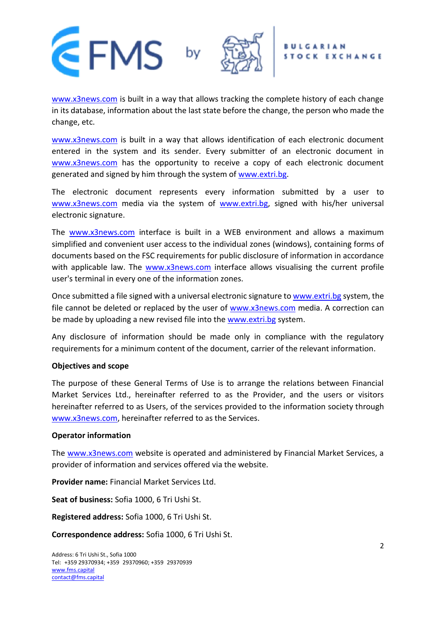

[www.x3news.com](http://www.x3news.com/) is built in a way that allows tracking the complete history of each change in its database, information about the last state before the change, the person who made the change, etc.

[www.x3news.com](http://www.x3news.com/) is built in a way that allows identification of each electronic document entered in the system and its sender. Every submitter of an electronic document in [www.x3news.com](http://www.x3news.com/) has the opportunity to receive a copy of each electronic document generated and signed by him through the system of [www.extri.bg.](http://www.extri.bg/)

The electronic document represents every information submitted by a user to [www.x3news.com](http://www.x3news.com/) media via the system of [www.extri.bg,](http://www.extri.bg/) signed with his/her universal electronic signature.

The [www.x3news.com](http://www.x3news.com/) interface is built in a WEB environment and allows a maximum simplified and convenient user access to the individual zones (windows), containing forms of documents based on the FSC requirements for public disclosure of information in accordance with applicable law. The [www.x3news.com](http://www.x3news.com/) interface allows visualising the current profile user's terminal in every one of the information zones.

Once submitted a file signed with a universal electronic signature to [www.extri.bg](http://www.extri.bg/) system, the file cannot be deleted or replaced by the user of [www.x3news.com](http://www.x3news.com/) media. A correction can be made by uploading a new revised file into the [www.extri.bg](http://www.extri.bg/) system.

Any disclosure of information should be made only in compliance with the regulatory requirements for a minimum content of the document, carrier of the relevant information.

### **Objectives and scope**

The purpose of these General Terms of Use is to arrange the relations between Financial Market Services Ltd., hereinafter referred to as the Provider, and the users or visitors hereinafter referred to as Users, of the services provided to the information society through [www.x3news.com,](http://www.x3news.com/) hereinafter referred to as the Services.

### **Operator information**

The [www.x3news.com](http://www.x3news.com/) website is operated and administered by Financial Market Services, a provider of information and services offered via the website.

**Provider name:** Financial Market Services Ltd.

**Seat of business:** Sofia 1000, 6 Tri Ushi St.

**Registered address:** Sofia 1000, 6 Tri Ushi St.

**Correspondence address:** Sofia 1000, 6 Tri Ushi St.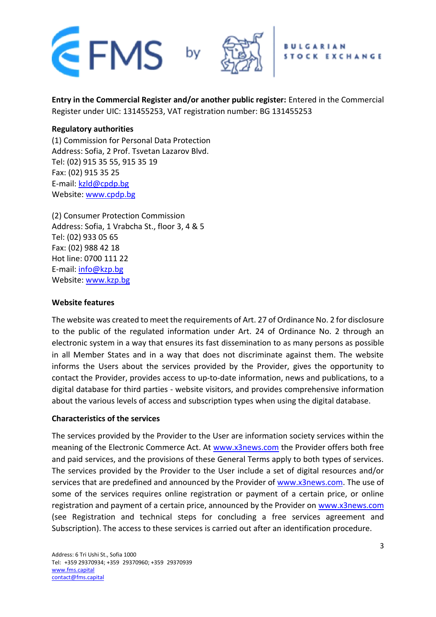

**Entry in the Commercial Register and/or another public register:** Entered in the Commercial Register under UIC: 131455253, VAT registration number: BG 131455253

## **Regulatory authorities**

(1) Commission for Personal Data Protection Address: Sofia, 2 Prof. Tsvetan Lazarov Blvd. Tel: (02) 915 35 55, 915 35 19 Fax: (02) 915 35 25 E-mail: [kzld@cpdp.bg](mailto:kzld@cpdp.bg) Website: [www.cpdp.bg](http://www.cpdp.bg/)

(2) Consumer Protection Commission Address: Sofia, 1 Vrabcha St., floor 3, 4 & 5 Tel: (02) 933 05 65 Fax: (02) 988 42 18 Hot line: 0700 111 22 E-mail: [info@kzp.bg](mailto:info@kzp.bg) Website: [www.kzp.bg](http://www.kzp.bg/)

### **Website features**

The website was created to meet the requirements of Art. 27 of Ordinance No. 2 for disclosure to the public of the regulated information under Art. 24 of Ordinance No. 2 through an electronic system in a way that ensures its fast dissemination to as many persons as possible in all Member States and in a way that does not discriminate against them. The website informs the Users about the services provided by the Provider, gives the opportunity to contact the Provider, provides access to up-to-date information, news and publications, to a digital database for third parties - website visitors, and provides comprehensive information about the various levels of access and subscription types when using the digital database.

### **Characteristics of the services**

The services provided by the Provider to the User are information society services within the meaning of the Electronic Commerce Act. At [www.x3news.com](http://www.x3news.com/) the Provider offers both free and paid services, and the provisions of these General Terms apply to both types of services. The services provided by the Provider to the User include a set of digital resources and/or services that are predefined and announced by the Provider of [www.x3news.com.](http://www.x3news.com/) The use of some of the services requires online registration or payment of a certain price, or online registration and payment of a certain price, announced by the Provider on [www.x3news.com](http://www.x3news.com/) (see Registration and technical steps for concluding a free services agreement and Subscription). The access to these services is carried out after an identification procedure.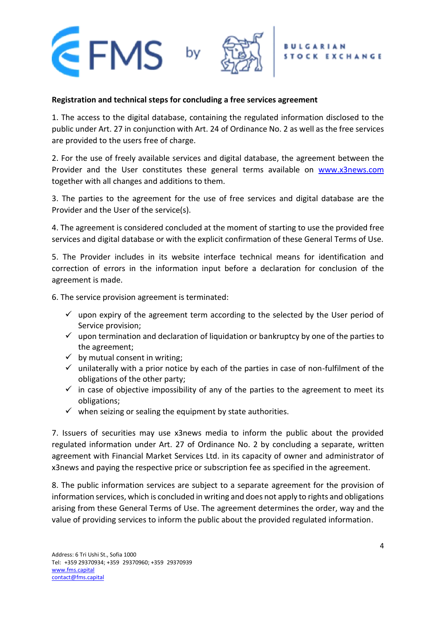

### **Registration and technical steps for concluding a free services agreement**

1. The access to the digital database, containing the regulated information disclosed to the public under Art. 27 in conjunction with Art. 24 of Ordinance No. 2 as well as the free services are provided to the users free of charge.

2. For the use of freely available services and digital database, the agreement between the Provider and the User constitutes these general terms available on [www.x3news.com](http://www.x3news.com/) together with all changes and additions to them.

3. The parties to the agreement for the use of free services and digital database are the Provider and the User of the service(s).

4. The agreement is considered concluded at the moment of starting to use the provided free services and digital database or with the explicit confirmation of these General Terms of Use.

5. The Provider includes in its website interface technical means for identification and correction of errors in the information input before a declaration for conclusion of the agreement is made.

6. The service provision agreement is terminated:

- $\checkmark$  upon expiry of the agreement term according to the selected by the User period of Service provision;
- $\checkmark$  upon termination and declaration of liquidation or bankruptcy by one of the parties to the agreement;
- $\checkmark$  by mutual consent in writing;
- $\checkmark$  unilaterally with a prior notice by each of the parties in case of non-fulfilment of the obligations of the other party;
- $\checkmark$  in case of objective impossibility of any of the parties to the agreement to meet its obligations;
- $\checkmark$  when seizing or sealing the equipment by state authorities.

7. Issuers of securities may use x3news media to inform the public about the provided regulated information under Art. 27 of Ordinance No. 2 by concluding a separate, written agreement with Financial Market Services Ltd. in its capacity of owner and administrator of x3news and paying the respective price or subscription fee as specified in the agreement.

8. The public information services are subject to a separate agreement for the provision of information services, which is concluded in writing and does not apply to rights and obligations arising from these General Terms of Use. The agreement determines the order, way and the value of providing services to inform the public about the provided regulated information.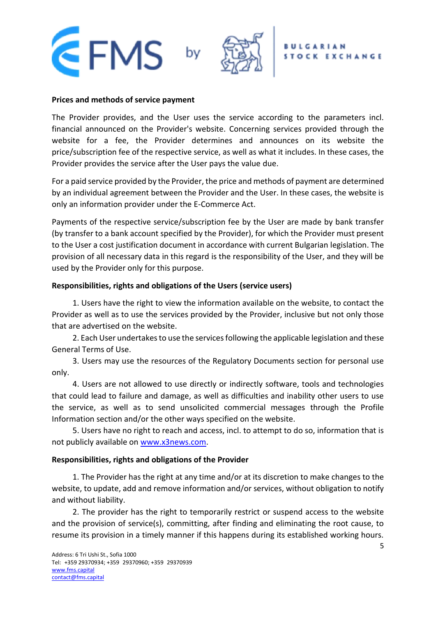

#### **Prices and methods of service payment**

The Provider provides, and the User uses the service according to the parameters incl. financial announced on the Provider's website. Concerning services provided through the website for a fee, the Provider determines and announces on its website the price/subscription fee of the respective service, as well as what it includes. In these cases, the Provider provides the service after the User pays the value due.

For a paid service provided by the Provider, the price and methods of payment are determined by an individual agreement between the Provider and the User. In these cases, the website is only an information provider under the E-Commerce Act.

Payments of the respective service/subscription fee by the User are made by bank transfer (by transfer to a bank account specified by the Provider), for which the Provider must present to the User a cost justification document in accordance with current Bulgarian legislation. The provision of all necessary data in this regard is the responsibility of the User, and they will be used by the Provider only for this purpose.

### **Responsibilities, rights and obligations of the Users (service users)**

1. Users have the right to view the information available on the website, to contact the Provider as well as to use the services provided by the Provider, inclusive but not only those that are advertised on the website.

2. Each User undertakes to use the services following the applicable legislation and these General Terms of Use.

3. Users may use the resources of the Regulatory Documents section for personal use only.

4. Users are not allowed to use directly or indirectly software, tools and technologies that could lead to failure and damage, as well as difficulties and inability other users to use the service, as well as to send unsolicited commercial messages through the Profile Information section and/or the other ways specified on the website.

5. Users have no right to reach and access, incl. to attempt to do so, information that is not publicly available on [www.x3news.com.](http://www.x3news.com/)

# **Responsibilities, rights and obligations of the Provider**

1. The Provider has the right at any time and/or at its discretion to make changes to the website, to update, add and remove information and/or services, without obligation to notify and without liability.

2. The provider has the right to temporarily restrict or suspend access to the website and the provision of service(s), committing, after finding and eliminating the root cause, to resume its provision in a timely manner if this happens during its established working hours.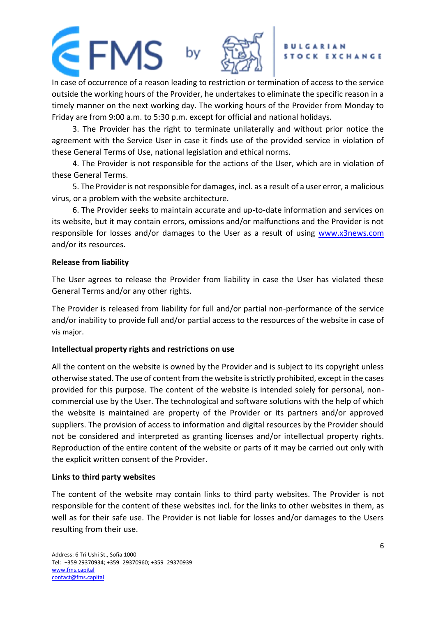In case of occurrence of a reason leading to restriction or termination of access to the service outside the working hours of the Provider, he undertakes to eliminate the specific reason in a timely manner on the next working day. The working hours of the Provider from Monday to Friday are from 9:00 a.m. to 5:30 p.m. except for official and national holidays.

3. The Provider has the right to terminate unilaterally and without prior notice the agreement with the Service User in case it finds use of the provided service in violation of these General Terms of Use, national legislation and ethical norms.

4. The Provider is not responsible for the actions of the User, which are in violation of these General Terms.

5. The Provider is not responsible for damages, incl. as a result of a user error, a malicious virus, or a problem with the website architecture.

6. The Provider seeks to maintain accurate and up-to-date information and services on its website, but it may contain errors, omissions and/or malfunctions and the Provider is not responsible for losses and/or damages to the User as a result of using [www.x3news.com](http://www.x3news.com/) and/or its resources.

# **Release from liability**

The User agrees to release the Provider from liability in case the User has violated these General Terms and/or any other rights.

The Provider is released from liability for full and/or partial non-performance of the service and/or inability to provide full and/or partial access to the resources of the website in case of [vis](https://dict.leo.org/englisch-deutsch/vis) [major](https://dict.leo.org/englisch-deutsch/major).

# **Intellectual property rights and restrictions on use**

All the content on the website is owned by the Provider and is subject to its copyright unless otherwise stated. The use of content from the website is strictly prohibited, except in the cases provided for this purpose. The content of the website is intended solely for personal, noncommercial use by the User. The technological and software solutions with the help of which the website is maintained are property of the Provider or its partners and/or approved suppliers. The provision of access to information and digital resources by the Provider should not be considered and interpreted as granting licenses and/or intellectual property rights. Reproduction of the entire content of the website or parts of it may be carried out only with the explicit written consent of the Provider.

### **Links to third party websites**

The content of the website may contain links to third party websites. The Provider is not responsible for the content of these websites incl. for the links to other websites in them, as well as for their safe use. The Provider is not liable for losses and/or damages to the Users resulting from their use.